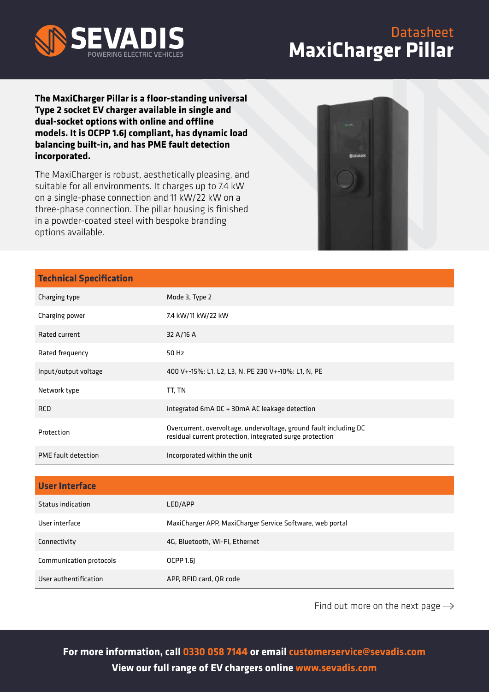

## Datasheet **MaxiCharger Pillar**

**The MaxiCharger Pillar is a floor-standing universal Type 2 socket EV charger available in single and dual-socket options with online and offline models. It is OCPP 1.6J compliant, has dynamic load balancing built-in, and has PME fault detection incorporated.**

The MaxiCharger is robust, aesthetically pleasing, and suitable for all environments. It charges up to 7.4 kW on a single-phase connection and 11 kW/22 kW on a three-phase connection. The pillar housing is finished in a powder-coated steel with bespoke branding options available.



| <b>Technical Specification</b> |                                                                                                                               |
|--------------------------------|-------------------------------------------------------------------------------------------------------------------------------|
| Charging type                  | Mode 3, Type 2                                                                                                                |
| Charging power                 | 7.4 kW/11 kW/22 kW                                                                                                            |
| Rated current                  | 32 A/16 A                                                                                                                     |
| Rated frequency                | 50 Hz                                                                                                                         |
| Input/output voltage           | 400 V+-15%: L1, L2, L3, N, PE 230 V+-10%: L1, N, PE                                                                           |
| Network type                   | TT, TN                                                                                                                        |
| <b>RCD</b>                     | Integrated 6mA DC + 30mA AC leakage detection                                                                                 |
| Protection                     | Overcurrent, overvoltage, undervoltage, ground fault including DC<br>residual current protection, integrated surge protection |
| PME fault detection            | Incorporated within the unit                                                                                                  |
|                                |                                                                                                                               |
| <b>User Interface</b>          |                                                                                                                               |
| <b>Status indication</b>       | LED/APP                                                                                                                       |
| User interface                 | MaxiCharger APP, MaxiCharger Service Software, web portal                                                                     |
| Connectivity                   | 4G, Bluetooth, Wi-Fi, Ethernet                                                                                                |

User authentification APP, RFID card, QR code

Communication protocols **COCPP** 1.6J

Find out more on the next page  $\rightarrow$ 

**For more information, call 0330 058 7144 or email customerservice@sevadis.com View our full range of EV chargers online www.sevadis.com**